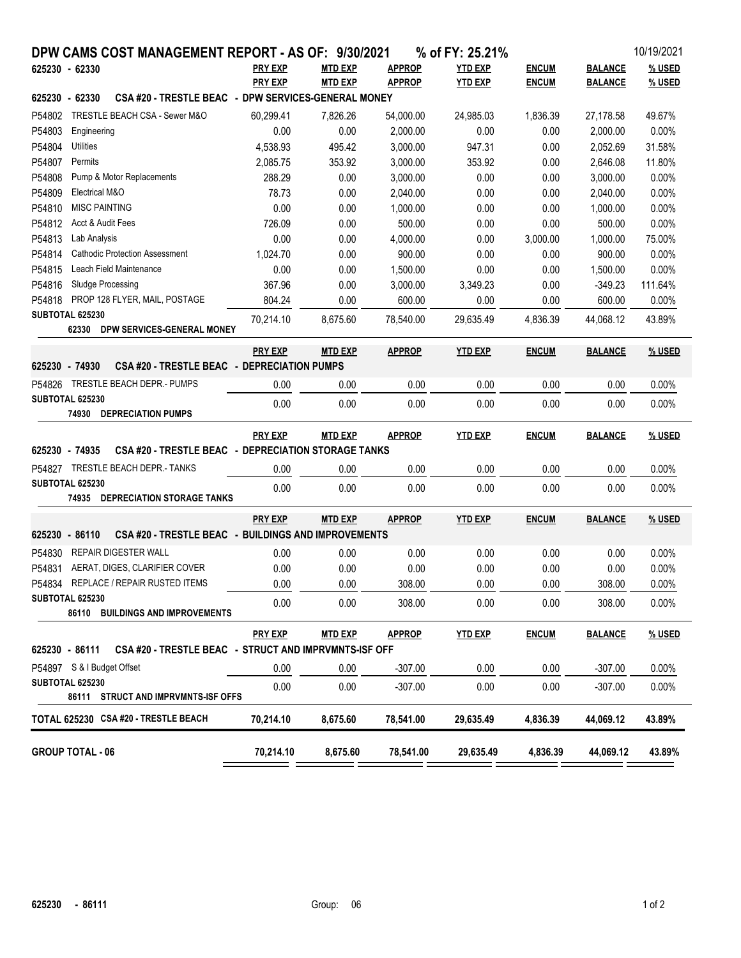| DPW CAMS COST MANAGEMENT REPORT - AS OF: 9/30/2021                         |                  |                |                    | % of FY: 25.21%  |              |                     | 10/19/2021       |
|----------------------------------------------------------------------------|------------------|----------------|--------------------|------------------|--------------|---------------------|------------------|
| 625230 - 62330                                                             | <b>PRY EXP</b>   | <b>MTD EXP</b> | <b>APPROP</b>      | <b>YTD EXP</b>   | <b>ENCUM</b> | <b>BALANCE</b>      | % USED           |
|                                                                            | <b>PRY EXP</b>   | <b>MTD EXP</b> | <b>APPROP</b>      | <b>YTD EXP</b>   | <b>ENCUM</b> | <b>BALANCE</b>      | % USED           |
| CSA #20 - TRESTLE BEAC - DPW SERVICES-GENERAL MONEY<br>625230 - 62330      |                  |                |                    |                  |              |                     |                  |
| TRESTLE BEACH CSA - Sewer M&O<br>P54802                                    | 60,299.41        | 7,826.26       | 54,000.00          | 24,985.03        | 1,836.39     | 27,178.58           | 49.67%           |
| P54803<br>Engineering                                                      | 0.00             | 0.00           | 2.000.00           | 0.00             | 0.00         | 2.000.00            | 0.00%            |
| P54804<br>Utilities                                                        | 4,538.93         | 495.42         | 3,000.00           | 947.31           | 0.00         | 2,052.69            | 31.58%           |
| P54807<br>Permits                                                          | 2,085.75         | 353.92         | 3,000.00           | 353.92           | 0.00         | 2,646.08            | 11.80%           |
| P54808<br>Pump & Motor Replacements                                        | 288.29           | 0.00           | 3,000.00           | 0.00             | 0.00         | 3,000.00            | 0.00%            |
| P54809<br>Electrical M&O                                                   | 78.73            | 0.00           | 2,040.00           | 0.00             | 0.00         | 2,040.00            | 0.00%            |
| P54810<br><b>MISC PAINTING</b>                                             | 0.00             | 0.00           | 1,000.00           | 0.00             | 0.00         | 1.000.00            | 0.00%            |
| P54812<br>Acct & Audit Fees                                                | 726.09           | 0.00           | 500.00             | 0.00             | 0.00         | 500.00              | 0.00%            |
| P54813<br>Lab Analysis                                                     | 0.00             | 0.00           | 4,000.00           | 0.00             | 3,000.00     | 1,000.00            | 75.00%           |
| <b>Cathodic Protection Assessment</b><br>P54814<br>Leach Field Maintenance | 1,024.70         | 0.00           | 900.00             | 0.00             | 0.00         | 900.00              | 0.00%            |
| P54815<br>Sludge Processing<br>P54816                                      | 0.00             | 0.00           | 1,500.00           | 0.00             | 0.00         | 1,500.00            | 0.00%            |
| PROP 128 FLYER, MAIL, POSTAGE<br>P54818                                    | 367.96<br>804.24 | 0.00<br>0.00   | 3,000.00<br>600.00 | 3,349.23<br>0.00 | 0.00<br>0.00 | $-349.23$<br>600.00 | 111.64%<br>0.00% |
| SUBTOTAL 625230                                                            |                  |                |                    |                  |              |                     |                  |
| 62330<br>DPW SERVICES-GENERAL MONEY                                        | 70,214.10        | 8.675.60       | 78.540.00          | 29,635.49        | 4,836.39     | 44,068.12           | 43.89%           |
|                                                                            | <b>PRY EXP</b>   | <b>MTD EXP</b> | <b>APPROP</b>      | <b>YTD EXP</b>   | <b>ENCUM</b> | <b>BALANCE</b>      | % USED           |
| 625230 - 74930<br>CSA #20 - TRESTLE BEAC - DEPRECIATION PUMPS              |                  |                |                    |                  |              |                     |                  |
| P54826 TRESTLE BEACH DEPR.- PUMPS                                          | 0.00             | 0.00           | 0.00               | 0.00             | 0.00         | 0.00                | 0.00%            |
| SUBTOTAL 625230                                                            | 0.00             | 0.00           | 0.00               | 0.00             | 0.00         | 0.00                | 0.00%            |
| <b>74930 DEPRECIATION PUMPS</b>                                            |                  |                |                    |                  |              |                     |                  |
|                                                                            | <b>PRY EXP</b>   | <b>MTD EXP</b> | <b>APPROP</b>      | <b>YTD EXP</b>   | <b>ENCUM</b> | <b>BALANCE</b>      | % USED           |
| CSA #20 - TRESTLE BEAC - DEPRECIATION STORAGE TANKS<br>625230 - 74935      |                  |                |                    |                  |              |                     |                  |
| P54827 TRESTLE BEACH DEPR.- TANKS                                          | 0.00             | 0.00           | 0.00               | 0.00             | 0.00         | 0.00                | 0.00%            |
| SUBTOTAL 625230                                                            | 0.00             | 0.00           | 0.00               | 0.00             | 0.00         | 0.00                | 0.00%            |
| <b>74935 DEPRECIATION STORAGE TANKS</b>                                    |                  |                |                    |                  |              |                     |                  |
|                                                                            | <b>PRY EXP</b>   | <b>MTD EXP</b> | <b>APPROP</b>      | <b>YTD EXP</b>   | <b>ENCUM</b> | <b>BALANCE</b>      | % USED           |
| CSA #20 - TRESTLE BEAC - BUILDINGS AND IMPROVEMENTS<br>625230 - 86110      |                  |                |                    |                  |              |                     |                  |
| P54830<br><b>REPAIR DIGESTER WALL</b>                                      | 0.00             | 0.00           | 0.00               | 0.00             | 0.00         | 0.00                | 0.00%            |
| P54831<br>AERAT, DIGES, CLARIFIER COVER                                    | 0.00             | 0.00           | 0.00               | 0.00             | 0.00         | 0.00                | 0.00%            |
| P54834<br>REPLACE / REPAIR RUSTED ITEMS                                    | 0.00             | 0.00           | 308.00             | 0.00             | 0.00         | 308.00              | 0.00%            |
| SUBTOTAL 625230                                                            | 0.00             | 0.00           | 308.00             | 0.00             | 0.00         | 308.00              | 0.00%            |
| 86110 BUILDINGS AND IMPROVEMENTS                                           |                  |                |                    |                  |              |                     |                  |
|                                                                            | <b>PRY EXP</b>   | <b>MTD EXP</b> | <b>APPROP</b>      | <b>YTD EXP</b>   | <b>ENCUM</b> | <b>BALANCE</b>      | % USED           |
| 625230 - 86111 CSA #20 - TRESTLE BEAC - STRUCT AND IMPRVMNTS-ISF OFF       |                  |                |                    |                  |              |                     |                  |
| P54897 S & I Budget Offset                                                 | 0.00             | 0.00           | $-307.00$          | 0.00             | 0.00         | $-307.00$           | $0.00\%$         |
| <b>SUBTOTAL 625230</b>                                                     | 0.00             | 0.00           | $-307.00$          | 0.00             | 0.00         | $-307.00$           | 0.00%            |
| 86111 STRUCT AND IMPRVMNTS-ISF OFFS                                        |                  |                |                    |                  |              |                     |                  |
| TOTAL 625230 CSA #20 - TRESTLE BEACH                                       | 70,214.10        | 8,675.60       | 78,541.00          | 29,635.49        | 4,836.39     | 44,069.12           | 43.89%           |
| <b>GROUP TOTAL - 06</b>                                                    | 70,214.10        | 8,675.60       | 78,541.00          | 29,635.49        | 4,836.39     | 44,069.12           | 43.89%           |